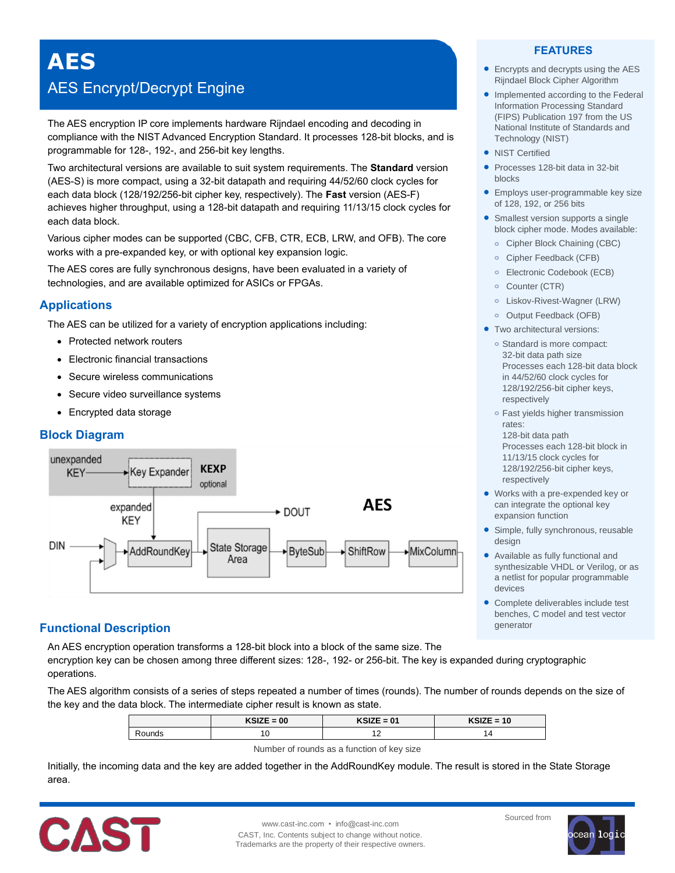**AES**

# AES Encrypt/Decrypt Engine

The AES encryption IP core implements hardware Rijndael encoding and decoding in compliance with the NIST Advanced Encryption Standard. It processes 128-bit blocks, and is programmable for 128-, 192-, and 256-bit key lengths.

Two architectural versions are available to suit system requirements. The **Standard** version (AES-S) is more compact, using a 32-bit datapath and requiring 44/52/60 clock cycles for each data block (128/192/256-bit cipher key, respectively). The **Fast** version (AES-F) achieves higher throughput, using a 128-bit datapath and requiring 11/13/15 clock cycles for each data block.

Various cipher modes can be supported (CBC, CFB, CTR, ECB, LRW, and OFB). The core works with a pre-expanded key, or with optional key expansion logic.

The AES cores are fully synchronous designs, have been evaluated in a variety of technologies, and are available optimized for ASICs or FPGAs.

### **Applications**

The AES can be utilized for a variety of encryption applications including:

- Protected network routers
- Electronic financial transactions
- Secure wireless communications
- Secure video surveillance systems
- Encrypted data storage

### **Block Diagram**



# **Functional Description**

An AES encryption operation transforms a 128-bit block into a block of the same size. The encryption key can be chosen among three different sizes: 128-, 192- or 256-bit. The key is expanded during cryptographic operations.

The AES algorithm consists of a series of steps repeated a number of times (rounds). The number of rounds depends on the size of the key and the data block. The intermediate cipher result is known as state.

|          | $KSIZE = 00$ | $KSIZE = 01$ | $KSIZE = 10$ |
|----------|--------------|--------------|--------------|
| Rounds ∛ | ı            | . .          |              |

Number of rounds as a function of key size

Initially, the incoming data and the key are added together in the AddRoundKey module. The result is stored in the State Storage area.



#### **FEATURES**

- Encrypts and decrypts using the AES Rijndael Block Cipher Algorithm
- Implemented according to the Federal Information Processing Standard (FIPS) Publication 197 from the US National Institute of Standards and Technology (NIST)
- NIST Certified
- Processes 128-bit data in 32-bit blocks
- **Employs user-programmable key size** of 128, 192, or 256 bits
- Smallest version supports a single block cipher mode. Modes available:
	- **o** Cipher Block Chaining (CBC)
	- **o** Cipher Feedback (CFB)
	- **o** Electronic Codebook (ECB)
	- **o** Counter (CTR)
	- **o** Liskov-Rivest-Wagner (LRW)
	- **o** Output Feedback (OFB)
- **•** Two architectural versions:
	- **o** Standard is more compact: 32-bit data path size Processes each 128-bit data block in 44/52/60 clock cycles for 128/192/256-bit cipher keys, respectively
	- **o** Fast yields higher transmission rates:
	- 128-bit data path Processes each 128-bit block in 11/13/15 clock cycles for 128/192/256-bit cipher keys, respectively
- Works with a pre-expended key or can integrate the optional key expansion function
- Simple, fully synchronous, reusable design
- Available as fully functional and synthesizable VHDL or Verilog, or as a netlist for popular programmable devices
- Complete deliverables include test benches, C model and test vector generator